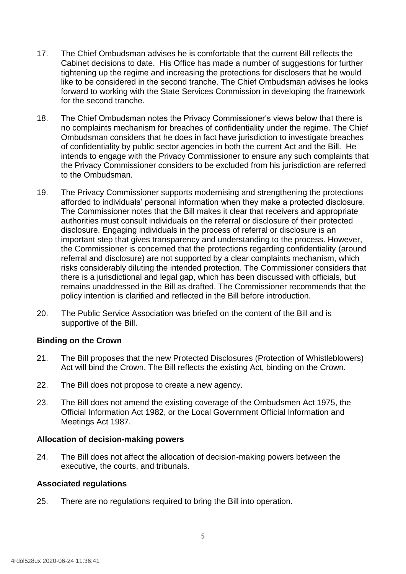- 17. The Chief Ombudsman advises he is comfortable that the current Bill reflects the Cabinet decisions to date. His Office has made a number of suggestions for further tightening up the regime and increasing the protections for disclosers that he would like to be considered in the second tranche. The Chief Ombudsman advises he looks forward to working with the State Services Commission in developing the framework for the second tranche.
- 18. The Chief Ombudsman notes the Privacy Commissioner's views below that there is no complaints mechanism for breaches of confidentiality under the regime. The Chief Ombudsman considers that he does in fact have jurisdiction to investigate breaches of confidentiality by public sector agencies in both the current Act and the Bill. He intends to engage with the Privacy Commissioner to ensure any such complaints that the Privacy Commissioner considers to be excluded from his jurisdiction are referred to the Ombudsman.
- 19. The Privacy Commissioner supports modernising and strengthening the protections afforded to individuals' personal information when they make a protected disclosure. The Commissioner notes that the Bill makes it clear that receivers and appropriate authorities must consult individuals on the referral or disclosure of their protected disclosure. Engaging individuals in the process of referral or disclosure is an important step that gives transparency and understanding to the process. However, the Commissioner is concerned that the protections regarding confidentiality (around referral and disclosure) are not supported by a clear complaints mechanism, which risks considerably diluting the intended protection. The Commissioner considers that there is a jurisdictional and legal gap, which has been discussed with officials, but remains unaddressed in the Bill as drafted. The Commissioner recommends that the policy intention is clarified and reflected in the Bill before introduction.
- 20. The Public Service Association was briefed on the content of the Bill and is supportive of the Bill.

# **Binding on the Crown**

- 21. The Bill proposes that the new Protected Disclosures (Protection of Whistleblowers) Act will bind the Crown. The Bill reflects the existing Act, binding on the Crown.
- 22. The Bill does not propose to create a new agency.
- 23. The Bill does not amend the existing coverage of the Ombudsmen Act 1975, the Official Information Act 1982, or the Local Government Official Information and Meetings Act 1987.

# **Allocation of decision-making powers**

24. The Bill does not affect the allocation of decision-making powers between the executive, the courts, and tribunals.

# **Associated regulations**

25. There are no regulations required to bring the Bill into operation.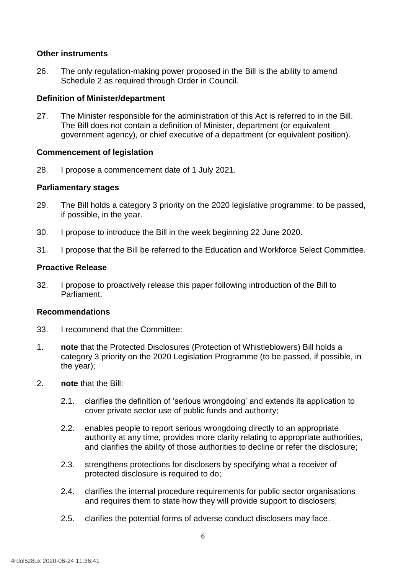# **Other instruments**

26. The only regulation-making power proposed in the Bill is the ability to amend Schedule 2 as required through Order in Council.

# **Definition of Minister/department**

27. The Minister responsible for the administration of this Act is referred to in the Bill. The Bill does not contain a definition of Minister, department (or equivalent government agency), or chief executive of a department (or equivalent position).

# **Commencement of legislation**

28. I propose a commencement date of 1 July 2021.

# **Parliamentary stages**

29. The Bill holds a category 3 priority on the 2020 legislative programme: to be passed, if possible, in the year.

**OVERALL** 

- 30. I propose to introduce the Bill in the week beginning 22 June 2020.
- 31. I propose that the Bill be referred to the Education and Workforce Select Committee.

# **Proactive Release**

32. I propose to proactively release this paper following introduction of the Bill to Parliament.

# **Recommendations**

- 33. I recommend that the Committee:
- 1. **note** that the Protected Disclosures (Protection of Whistleblowers) Bill holds a category 3 priority on the 2020 Legislation Programme (to be passed, if possible, in the year);
- 2. **note** that the Bill:
	- 2.1. clarifies the definition of 'serious wrongdoing' and extends its application to cover private sector use of public funds and authority;
	- 2.2. enables people to report serious wrongdoing directly to an appropriate authority at any time, provides more clarity relating to appropriate authorities, and clarifies the ability of those authorities to decline or refer the disclosure;
	- 2.3. strengthens protections for disclosers by specifying what a receiver of protected disclosure is required to do;
	- 2.4. clarifies the internal procedure requirements for public sector organisations and requires them to state how they will provide support to disclosers;
	- 2.5. clarifies the potential forms of adverse conduct disclosers may face.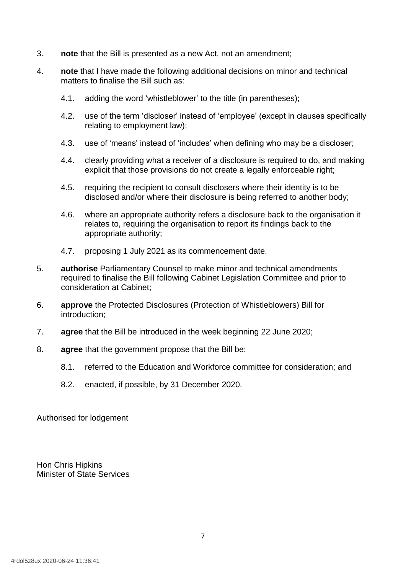- 3. **note** that the Bill is presented as a new Act, not an amendment;
- 4. **note** that I have made the following additional decisions on minor and technical matters to finalise the Bill such as:
	- 4.1. adding the word 'whistleblower' to the title (in parentheses);
	- 4.2. use of the term 'discloser' instead of 'employee' (except in clauses specifically relating to employment law);
	- 4.3. use of 'means' instead of 'includes' when defining who may be a discloser;
	- 4.4. clearly providing what a receiver of a disclosure is required to do, and making explicit that those provisions do not create a legally enforceable right;
	- 4.5. requiring the recipient to consult disclosers where their identity is to be disclosed and/or where their disclosure is being referred to another body;
	- 4.6. where an appropriate authority refers a disclosure back to the organisation it relates to, requiring the organisation to report its findings back to the appropriate authority;
	- 4.7. proposing 1 July 2021 as its commencement date.
- 5. **authorise** Parliamentary Counsel to make minor and technical amendments required to finalise the Bill following Cabinet Legislation Committee and prior to consideration at Cabinet;
- 6. **approve** the Protected Disclosures (Protection of Whistleblowers) Bill for introduction;
- 7. **agree** that the Bill be introduced in the week beginning 22 June 2020;
- 8. **agree** that the government propose that the Bill be:
	- 8.1. referred to the Education and Workforce committee for consideration; and
	- 8.2. enacted, if possible, by 31 December 2020.

Authorised for lodgement

Hon Chris Hipkins Minister of State Services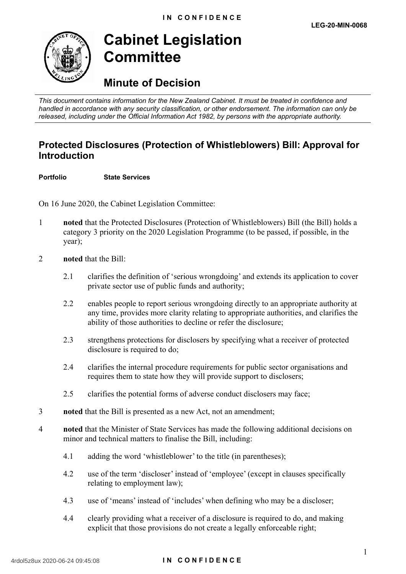

# **Cabinet Legislation Committee**

# **Minute of Decision**

*This document contains information for the New Zealand Cabinet. It must be treated in confidence and handled in accordance with any security classification, or other endorsement. The information can only be released, including under the Official Information Act 1982, by persons with the appropriate authority.*

# **Protected Disclosures (Protection of Whistleblowers) Bill: Approval for Introduction** EN COVERT

**Portfolio State Services**

On 16 June 2020, the Cabinet Legislation Committee:

- 1 **noted** that the Protected Disclosures (Protection of Whistleblowers) Bill (the Bill) holds a category 3 priority on the 2020 Legislation Programme (to be passed, if possible, in the year);
- 2 **noted** that the Bill:
	- 2.1 clarifies the definition of 'serious wrongdoing' and extends its application to cover private sector use of public funds and authority;
	- 2.2 enables people to report serious wrongdoing directly to an appropriate authority at any time, provides more clarity relating to appropriate authorities, and clarifies the ability of those authorities to decline or refer the disclosure;
	- 2.3 strengthens protections for disclosers by specifying what a receiver of protected disclosure is required to do;
	- 2.4 clarifies the internal procedure requirements for public sector organisations and requires them to state how they will provide support to disclosers;
	- 2.5 clarifies the potential forms of adverse conduct disclosers may face;
- 3 **noted** that the Bill is presented as a new Act, not an amendment;
	- 4 **noted** that the Minister of State Services has made the following additional decisions on minor and technical matters to finalise the Bill, including:
		- 4.1 adding the word 'whistleblower' to the title (in parentheses);
		- 4.2 use of the term 'discloser' instead of 'employee' (except in clauses specifically relating to employment law);
		- 4.3 use of 'means' instead of 'includes' when defining who may be a discloser;
		- 4.4 clearly providing what a receiver of a disclosure is required to do, and making explicit that those provisions do not create a legally enforceable right;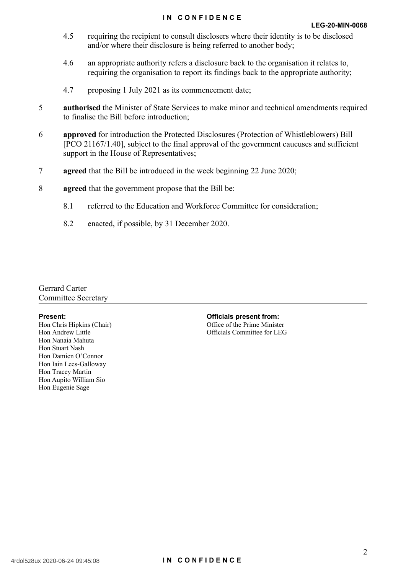- 4.5 requiring the recipient to consult disclosers where their identity is to be disclosed and/or where their disclosure is being referred to another body;
- 4.6 an appropriate authority refers a disclosure back to the organisation it relates to, requiring the organisation to report its findings back to the appropriate authority;
- 4.7 proposing 1 July 2021 as its commencement date;
- 5 **authorised** the Minister of State Services to make minor and technical amendments required to finalise the Bill before introduction;
- 6 **approved** for introduction the Protected Disclosures (Protection of Whistleblowers) Bill [PCO 21167/1.40], subject to the final approval of the government caucuses and sufficient support in the House of Representatives;
- 7 **agreed** that the Bill be introduced in the week beginning 22 June 2020;
- 8 **agreed** that the government propose that the Bill be:
	- 8.1 referred to the Education and Workforce Committee for consideration;
	- 8.2 enacted, if possible, by 31 December 2020.

Gerrard Carter Committee Secretary

**Present:**<br>
Hon Chris Hipkins (Chair)<br>
Hon Andrew Little<br>
Hon Nanaia Mahuta<br>
Hon Stuart Nash<br>
Hon Damien O'C Hon Chris Hipkins (Chair) Hon Andrew Little Hon Nanaia Mahuta Hon Stuart Nash Hon Damien O'Connor Hon Iain Lees-Galloway Hon Tracey Martin Hon Aupito William Sio Hon Eugenie Sage

**ISLAND** 

Office of the Prime Minister Officials Committee for LEG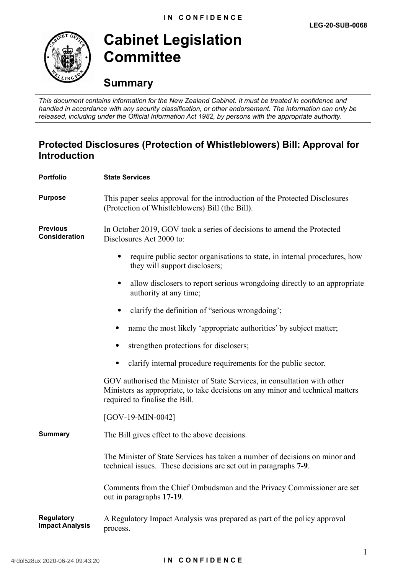

**Cabinet Legislation Committee**

# **Summary**

*This document contains information for the New Zealand Cabinet. It must be treated in confidence and handled in accordance with any security classification, or other endorsement. The information can only be released, including under the Official Information Act 1982, by persons with the appropriate authority.*

# **Protected Disclosures (Protection of Whistleblowers) Bill: Approval for Introduction**

| <b>Portfolio</b>                            | <b>State Services</b>                                                                                                                                                                         |
|---------------------------------------------|-----------------------------------------------------------------------------------------------------------------------------------------------------------------------------------------------|
| <b>Purpose</b>                              | This paper seeks approval for the introduction of the Protected Disclosures<br>(Protection of Whistleblowers) Bill (the Bill).                                                                |
| <b>Previous</b><br><b>Consideration</b>     | In October 2019, GOV took a series of decisions to amend the Protected<br>Disclosures Act 2000 to:                                                                                            |
|                                             | require public sector organisations to state, in internal procedures, how<br>they will support disclosers;                                                                                    |
|                                             | allow disclosers to report serious wrongdoing directly to an appropriate<br>$\bullet$<br>authority at any time;                                                                               |
|                                             | clarify the definition of "serious wrongdoing";                                                                                                                                               |
|                                             | name the most likely 'appropriate authorities' by subject matter;                                                                                                                             |
|                                             | strengthen protections for disclosers;                                                                                                                                                        |
|                                             | clarify internal procedure requirements for the public sector.                                                                                                                                |
|                                             | GOV authorised the Minister of State Services, in consultation with other<br>Ministers as appropriate, to take decisions on any minor and technical matters<br>required to finalise the Bill. |
|                                             | $[GOV-19-MIN-0042]$                                                                                                                                                                           |
| <b>Summary</b>                              | The Bill gives effect to the above decisions.                                                                                                                                                 |
|                                             | The Minister of State Services has taken a number of decisions on minor and<br>technical issues. These decisions are set out in paragraphs 7-9.                                               |
|                                             | Comments from the Chief Ombudsman and the Privacy Commissioner are set<br>out in paragraphs 17-19.                                                                                            |
| <b>Regulatory</b><br><b>Impact Analysis</b> | A Regulatory Impact Analysis was prepared as part of the policy approval<br>process.                                                                                                          |
|                                             |                                                                                                                                                                                               |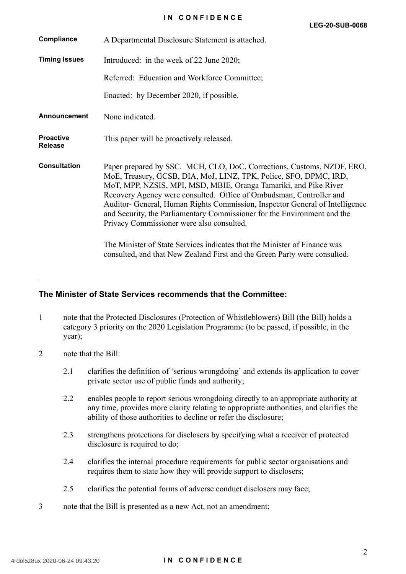| Compliance                         | A Departmental Disclosure Statement is attached.                                                                                                                                                                                                                                                                                                                                                                                                                                                |
|------------------------------------|-------------------------------------------------------------------------------------------------------------------------------------------------------------------------------------------------------------------------------------------------------------------------------------------------------------------------------------------------------------------------------------------------------------------------------------------------------------------------------------------------|
| <b>Timing Issues</b>               | Introduced: in the week of 22 June 2020;                                                                                                                                                                                                                                                                                                                                                                                                                                                        |
|                                    | Referred: Education and Workforce Committee;                                                                                                                                                                                                                                                                                                                                                                                                                                                    |
|                                    | Enacted: by December 2020, if possible.                                                                                                                                                                                                                                                                                                                                                                                                                                                         |
| <b>Announcement</b>                | None indicated.                                                                                                                                                                                                                                                                                                                                                                                                                                                                                 |
| <b>Proactive</b><br><b>Release</b> | This paper will be proactively released.                                                                                                                                                                                                                                                                                                                                                                                                                                                        |
| <b>Consultation</b>                | Paper prepared by SSC. MCH, CLO, DoC, Corrections, Customs, NZDF, ERO,<br>MoE, Treasury, GCSB, DIA, MoJ, LINZ, TPK, Police, SFO, DPMC, IRD,<br>MoT, MPP, NZSIS, MPI, MSD, MBIE, Oranga Tamariki, and Pike River<br>Recovery Agency were consulted. Office of Ombudsman, Controller and<br>Auditor- General, Human Rights Commission, Inspector General of Intelligence<br>and Security, the Parliamentary Commissioner for the Environment and the<br>Privacy Commissioner were also consulted. |
|                                    | The Minister of State Services indicates that the Minister of Finance was<br>consulted, and that New Zealand First and the Green Party were consulted.                                                                                                                                                                                                                                                                                                                                          |

### **The Minister of State Services recommends that the Committee:**

- 1 note that the Protected Disclosures (Protection of Whistleblowers) Bill (the Bill) holds a category 3 priority on the 2020 Legislation Programme (to be passed, if possible, in the year);
- 2 note that the Bill:
	- 2.1 clarifies the definition of 'serious wrongdoing' and extends its application to cover private sector use of public funds and authority;
	- 2.2 enables people to report serious wrongdoing directly to an appropriate authority at any time, provides more clarity relating to appropriate authorities, and clarifies the ability of those authorities to decline or refer the disclosure;
	- 2.3 strengthens protections for disclosers by specifying what a receiver of protected disclosure is required to do:
	- 2.4 clarifies the internal procedure requirements for public sector organisations and requires them to state how they will provide support to disclosers;
	- 2.5 clarifies the potential forms of adverse conduct disclosers may face;
- 3 note that the Bill is presented as a new Act, not an amendment;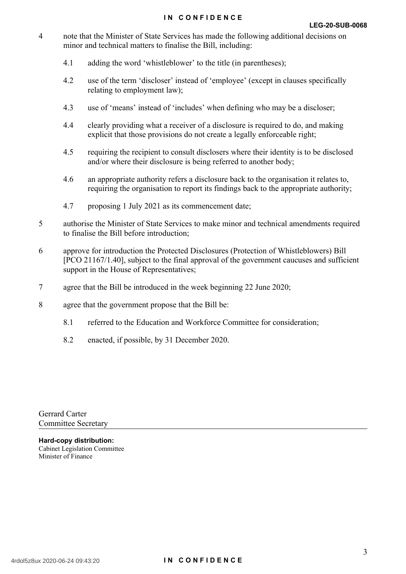### **IN CONFIDENCE**

- 4 note that the Minister of State Services has made the following additional decisions on minor and technical matters to finalise the Bill, including:
	- 4.1 adding the word 'whistleblower' to the title (in parentheses);
	- 4.2 use of the term 'discloser' instead of 'employee' (except in clauses specifically relating to employment law);
	- 4.3 use of 'means' instead of 'includes' when defining who may be a discloser;
	- 4.4 clearly providing what a receiver of a disclosure is required to do, and making explicit that those provisions do not create a legally enforceable right;
	- 4.5 requiring the recipient to consult disclosers where their identity is to be disclosed and/or where their disclosure is being referred to another body;
	- 4.6 an appropriate authority refers a disclosure back to the organisation it relates to, requiring the organisation to report its findings back to the appropriate authority;
	- 4.7 proposing 1 July 2021 as its commencement date;
- 5 authorise the Minister of State Services to make minor and technical amendments required to finalise the Bill before introduction;
- 6 approve for introduction the Protected Disclosures (Protection of Whistleblowers) Bill [PCO 21167/1.40], subject to the final approval of the government caucuses and sufficient support in the House of Representatives;
- 7 agree that the Bill be introduced in the week beginning 22 June 2020;
- 8 agree that the government propose that the Bill be:

BY SSC.

- 8.1 referred to the Education and Workforce Committee for consideration;
- 8.2 enacted, if possible, by 31 December 2020.

Gerrard Carter Committee Secretary

**Hard-copy distribution:** Cabinet Legislation Committee Minister of Finance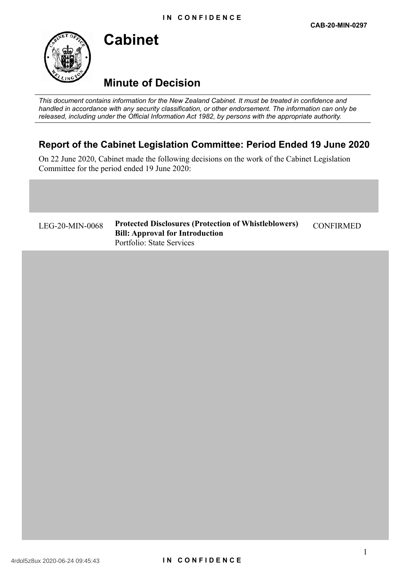# **Minute of Decision**

**Cabinet**

*This document contains information for the New Zealand Cabinet. It must be treated in confidence and handled in accordance with any security classification, or other endorsement. The information can only be released, including under the Official Information Act 1982, by persons with the appropriate authority.*

# **Report of the Cabinet Legislation Committee: Period Ended 19 June 2020**

On 22 June 2020, Cabinet made the following decisions on the work of the Cabinet Legislation Committee for the period ended 19 June 2020:

LEG-20-MIN-0068 **Protected Disclosures (Protection of Whistleblowers) Bill: Approval for Introduction** Portfolio: State Services

CONFIRMED